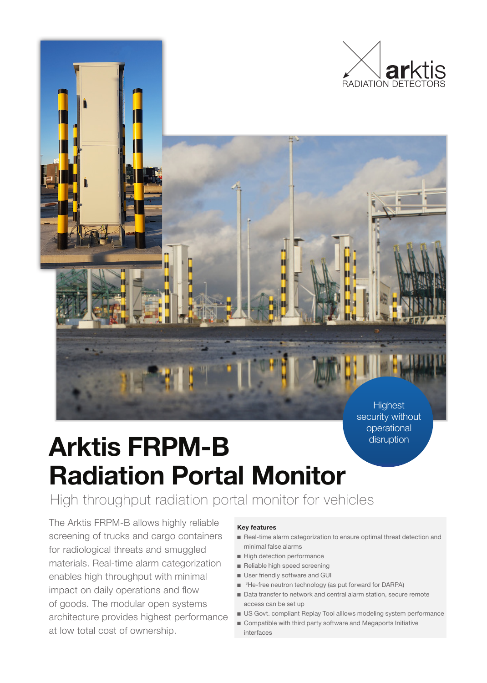

**Highest** security without operational disruption

# **Arktis FRPM-B Radiation Portal Monitor**

High throughput radiation portal monitor for vehicles

The Arktis FRPM-B allows highly reliable screening of trucks and cargo containers for radiological threats and smuggled materials. Real-time alarm categorization enables high throughput with minimal impact on daily operations and flow of goods. The modular open systems architecture provides highest performance at low total cost of ownership.

### **Key features**

- Real-time alarm categorization to ensure optimal threat detection and minimal false alarms
- High detection performance
- Reliable high speed screening
- User friendly software and GUI
- <sup>3</sup>He-free neutron technology (as put forward for DARPA)
- Data transfer to network and central alarm station, secure remote access can be set up
- US Govt. compliant Replay Tool alllows modeling system performance
- Compatible with third party software and Megaports Initiative interfaces